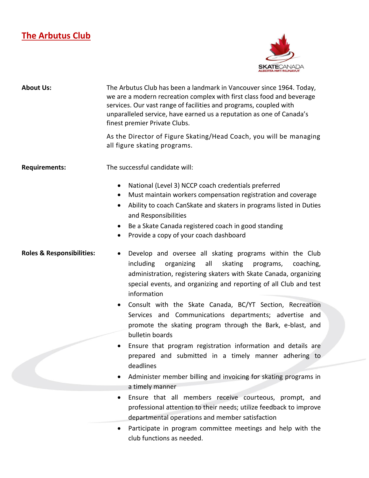## **The Arbutus Club**



| <b>About Us:</b>                     | The Arbutus Club has been a landmark in Vancouver since 1964. Today,<br>we are a modern recreation complex with first class food and beverage<br>services. Our vast range of facilities and programs, coupled with<br>unparalleled service, have earned us a reputation as one of Canada's<br>finest premier Private Clubs.                                    |
|--------------------------------------|----------------------------------------------------------------------------------------------------------------------------------------------------------------------------------------------------------------------------------------------------------------------------------------------------------------------------------------------------------------|
|                                      | As the Director of Figure Skating/Head Coach, you will be managing<br>all figure skating programs.                                                                                                                                                                                                                                                             |
| <b>Requirements:</b>                 | The successful candidate will:                                                                                                                                                                                                                                                                                                                                 |
|                                      | National (Level 3) NCCP coach credentials preferred<br>٠<br>Must maintain workers compensation registration and coverage<br>$\bullet$<br>Ability to coach CanSkate and skaters in programs listed in Duties<br>and Responsibilities<br>Be a Skate Canada registered coach in good standing<br>$\bullet$<br>Provide a copy of your coach dashboard<br>$\bullet$ |
| <b>Roles &amp; Responsibilities:</b> | Develop and oversee all skating programs within the Club<br>including<br>organizing<br>all<br>skating programs,<br>coaching,<br>administration, registering skaters with Skate Canada, organizing<br>special events, and organizing and reporting of all Club and test<br>information                                                                          |
|                                      | Consult with the Skate Canada, BC/YT Section, Recreation<br>$\bullet$<br>Services and Communications departments; advertise and<br>promote the skating program through the Bark, e-blast, and<br>bulletin boards                                                                                                                                               |
|                                      | Ensure that program registration information and details are<br>$\bullet$<br>prepared and submitted in a timely manner adhering to<br>deadlines                                                                                                                                                                                                                |
|                                      | Administer member billing and invoicing for skating programs in<br>a timely manner                                                                                                                                                                                                                                                                             |
|                                      | Ensure that all members receive courteous, prompt, and<br>$\bullet$<br>professional attention to their needs; utilize feedback to improve<br>departmental operations and member satisfaction                                                                                                                                                                   |
|                                      | Participate in program committee meetings and help with the                                                                                                                                                                                                                                                                                                    |

club functions as needed.